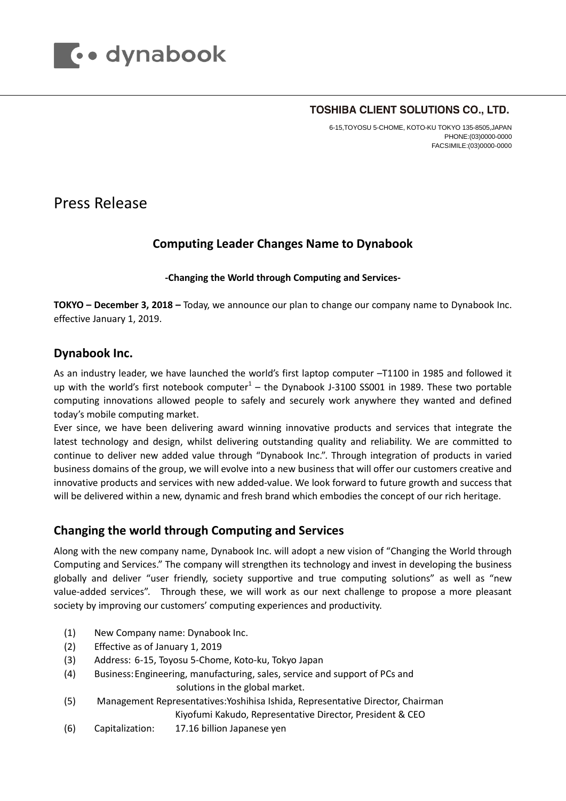

#### TOSHIBA CLIENT SOLUTIONS CO., LTD.

6-15,TOYOSU 5-CHOME, KOTO-KU TOKYO 135-8505,JAPAN PHONE:(03)0000-0000 FACSIMILE:(03)0000-0000

# Press Release

## **Computing Leader Changes Name to Dynabook**

#### **-Changing the World through Computing and Services-**

**TOKYO – December 3, 2018 –** Today, we announce our plan to change our company name to Dynabook Inc. effective January 1, 2019.

### **Dynabook Inc.**

As an industry leader, we have launched the world's first laptop computer –T1100 in 1985 and followed it up with the world's first notebook computer $<sup>1</sup>$  – the Dynabook J-3100 SS001 in 1989. These two portable</sup> computing innovations allowed people to safely and securely work anywhere they wanted and defined today's mobile computing market.

Ever since, we have been delivering award winning innovative products and services that integrate the latest technology and design, whilst delivering outstanding quality and reliability. We are committed to continue to deliver new added value through "Dynabook Inc.". Through integration of products in varied business domains of the group, we will evolve into a new business that will offer our customers creative and innovative products and services with new added-value. We look forward to future growth and success that will be delivered within a new, dynamic and fresh brand which embodies the concept of our rich heritage.

## **Changing the world through Computing and Services**

Along with the new company name, Dynabook Inc. will adopt a new vision of "Changing the World through Computing and Services." The company will strengthen its technology and invest in developing the business globally and deliver "user friendly, society supportive and true computing solutions" as well as "new value-added services". Through these, we will work as our next challenge to propose a more pleasant society by improving our customers' computing experiences and productivity.

- (1) New Company name: Dynabook Inc.
- (2) Effective as of January 1, 2019
- (3) Address: 6-15, Toyosu 5-Chome, Koto-ku, Tokyo Japan
- (4) Business:Engineering, manufacturing, sales, service and support of PCs and solutions in the global market.
- (5) Management Representatives:Yoshihisa Ishida, Representative Director, Chairman Kiyofumi Kakudo, Representative Director, President & CEO
- (6) Capitalization: 17.16 billion Japanese yen